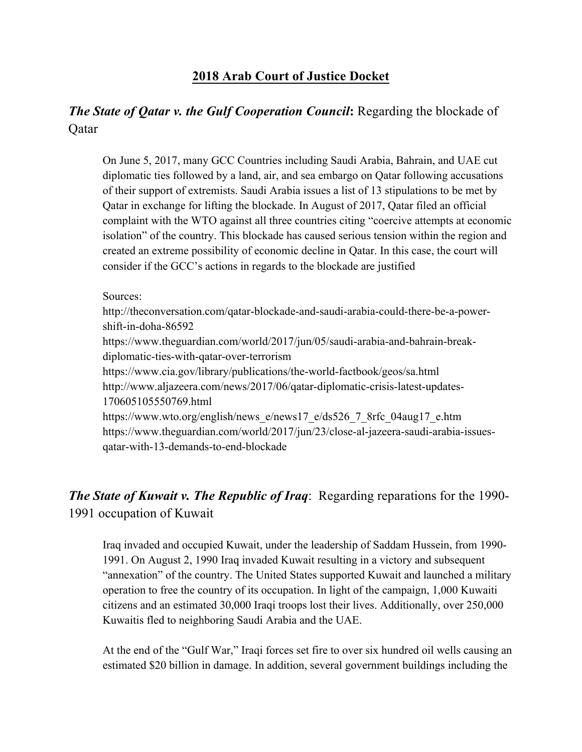#### **2018 Arab Court of Justice Docket**

### *The State of Qatar v. the Gulf Cooperation Council***:** Regarding the blockade of Qatar

On June 5, 2017, many GCC Countries including Saudi Arabia, Bahrain, and UAE cut diplomatic ties followed by a land, air, and sea embargo on Qatar following accusations of their support of extremists. Saudi Arabia issues a list of 13 stipulations to be met by Qatar in exchange for lifting the blockade. In August of 2017, Qatar filed an official complaint with the WTO against all three countries citing "coercive attempts at economic isolation" of the country. This blockade has caused serious tension within the region and created an extreme possibility of economic decline in Qatar. In this case, the court will consider if the GCC's actions in regards to the blockade are justified

#### Sources:

http://theconversation.com/qatar-blockade-and-saudi-arabia-could-there-be-a-powershift-in-doha-86592

https://www.theguardian.com/world/2017/jun/05/saudi-arabia-and-bahrain-breakdiplomatic-ties-with-qatar-over-terrorism

https://www.cia.gov/library/publications/the-world-factbook/geos/sa.html http://www.aljazeera.com/news/2017/06/qatar-diplomatic-crisis-latest-updates-170605105550769.html

https://www.wto.org/english/news\_e/news17\_e/ds526\_7\_8rfc\_04aug17\_e.htm https://www.theguardian.com/world/2017/jun/23/close-al-jazeera-saudi-arabia-issuesqatar-with-13-demands-to-end-blockade

## *The State of Kuwait v. The Republic of Iraq*: Regarding reparations for the 1990- 1991 occupation of Kuwait

Iraq invaded and occupied Kuwait, under the leadership of Saddam Hussein, from 1990- 1991. On August 2, 1990 Iraq invaded Kuwait resulting in a victory and subsequent "annexation" of the country. The United States supported Kuwait and launched a military operation to free the country of its occupation. In light of the campaign, 1,000 Kuwaiti citizens and an estimated 30,000 Iraqi troops lost their lives. Additionally, over 250,000 Kuwaitis fled to neighboring Saudi Arabia and the UAE.

At the end of the "Gulf War," Iraqi forces set fire to over six hundred oil wells causing an estimated \$20 billion in damage. In addition, several government buildings including the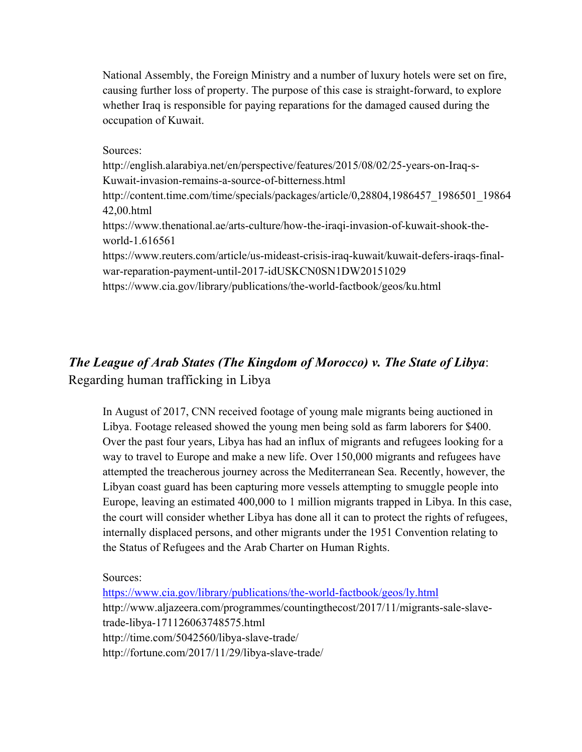National Assembly, the Foreign Ministry and a number of luxury hotels were set on fire, causing further loss of property. The purpose of this case is straight-forward, to explore whether Iraq is responsible for paying reparations for the damaged caused during the occupation of Kuwait.

Sources:

http://english.alarabiya.net/en/perspective/features/2015/08/02/25-years-on-Iraq-s-Kuwait-invasion-remains-a-source-of-bitterness.html http://content.time.com/time/specials/packages/article/0,28804,1986457\_1986501\_19864 42,00.html https://www.thenational.ae/arts-culture/how-the-iraqi-invasion-of-kuwait-shook-theworld-1.616561 https://www.reuters.com/article/us-mideast-crisis-iraq-kuwait/kuwait-defers-iraqs-finalwar-reparation-payment-until-2017-idUSKCN0SN1DW20151029

https://www.cia.gov/library/publications/the-world-factbook/geos/ku.html

# *The League of Arab States (The Kingdom of Morocco) v. The State of Libya*: Regarding human trafficking in Libya

In August of 2017, CNN received footage of young male migrants being auctioned in Libya. Footage released showed the young men being sold as farm laborers for \$400. Over the past four years, Libya has had an influx of migrants and refugees looking for a way to travel to Europe and make a new life. Over 150,000 migrants and refugees have attempted the treacherous journey across the Mediterranean Sea. Recently, however, the Libyan coast guard has been capturing more vessels attempting to smuggle people into Europe, leaving an estimated 400,000 to 1 million migrants trapped in Libya. In this case, the court will consider whether Libya has done all it can to protect the rights of refugees, internally displaced persons, and other migrants under the 1951 Convention relating to the Status of Refugees and the Arab Charter on Human Rights.

Sources:

https://www.cia.gov/library/publications/the-world-factbook/geos/ly.html http://www.aljazeera.com/programmes/countingthecost/2017/11/migrants-sale-slavetrade-libya-171126063748575.html http://time.com/5042560/libya-slave-trade/ http://fortune.com/2017/11/29/libya-slave-trade/